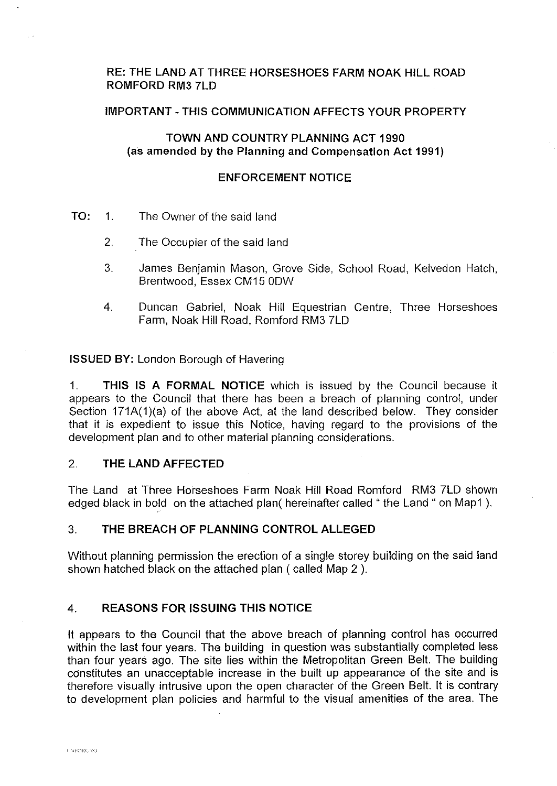## **RE: THE LAND AT THREE HORSESHOES FARM NOAK HILL ROAD ROMFORD RM3 7LD**

### **IMPORTANT-THIS COMMUNICATION AFFECTS YOUR PROPERTY**

### **TOWN AND COUNTRY PLANNING ACT 1990** (as **amended by the Planning and Compensation Act 1991)**

### **ENFORCEMENT NOTICE**

- **TO:** 1. The Owner of the said land
	- 2. The Occupier of the said land
	- 3. James Benjamin Mason, Grove Side, School Ro ad, Kelvedon Hatch, Brentwood, Essex CM15 ODW
	- 4. Duncan Gabriel, Noak Hill Equestrian Centre, Three Horseshoes Farm, Noak Hill Road, Romford RM3 7LD

**ISSUED BY:** London Borough of Havering

1. **THIS IS A FORMAL NOTICE** which is issued by the Council because it appears to the Council that there has been a breach of planning control, under Section 171A(1)(a) of the above Act, at the land described below. They consider that it is expedient to issue this Notice, having regard to the provisions of the development plan and to other material planning considerations.

### 2. **THE LAND AFFECTED**

The Land at Three Horseshoes Farm Noak Hill Road Romford RM3 7LD shown edged black in bold on the attached plan( hereinafter called "the Land " on Map1).

# 3. **THE BREACH OF PLANNING CONTROL ALLEGED**

Without planning permission the erection of a single storey building on the said land shown hatched black on the attached plan ( called Map 2 ).

# **4. REASONS FOR ISSUING THIS NOTICE**

It appears to the Council that the above breach of planning control has occurred within the last four years. The building in question was substantially completed less than four years ago. The site lies within the Metropolitan Green Belt. The building constitutes an unacceptable increase in the built up appearance of the site and is therefore visually intrusive upon the open character of the Green Belt. It is contrary to development plan policies and harmful to the visual amenities of the area. The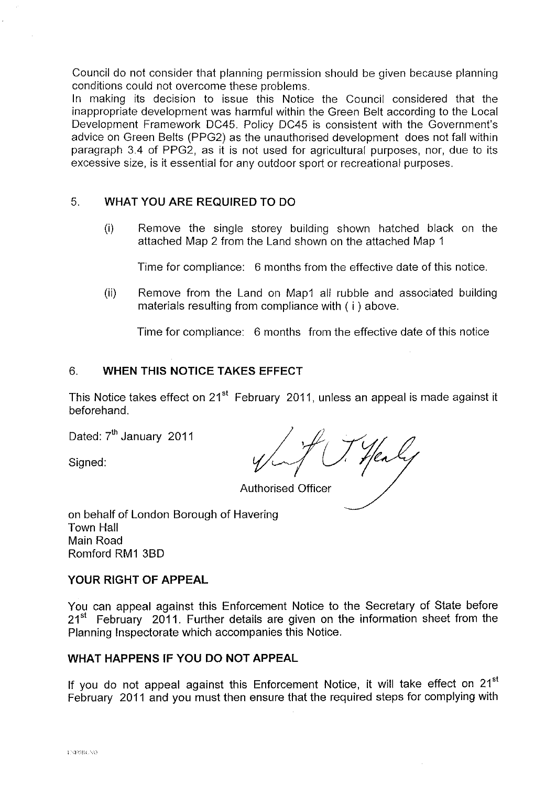Council do not consider that planning permission should be given because planning conditions could not overcome these problems.

In making its decision to issue this Notice the Council considered that the inappropriate development was harmful within the Green Belt according to the Local Development Framework DC45. Policy DC45 is consistent with the Government's advice on Green Belts (PPG2) as the unauthorised development does not fall within paragraph 3.4 of PPG2, as it is not used for agricultural purposes, nor, due to its excessive size, is it essential for any outdoor sport or recreational purposes.

# 5. **WHAT YOU ARE REQUIRED** TO DO

(i) Remove the single storey building shown hatched black on the attached Map 2 from the Land shown on the attached Map 1

Time for compliance: 6 months from the effective date of this notice.

(ii) Remove from the Land on Map1 all rubble and associated building materials resulting from compliance with ( i ) above.

Time for compliance: 6 months from the effective date of this notice

# 6. **WHEN THIS NOTICE TAKES EFFECT**

This Notice takes effect on 21<sup>st</sup> February 2011, unless an appeal is made against it beforehand.

Dated: 7<sup>th</sup> January 2011

Signed:

Authorised Officer

on behalf of London Borough of Havering Town Hall Main Road Romford RM1 380

# **YOUR RIGHT OF APPEAL**

You can appeal against this Enforcement Notice to the Secretary of State before  $21<sup>st</sup>$  February 2011. Further details are given on the information sheet from the Planning Inspectorate which accompanies this Notice.

# **WHAT HAPPENS IF YOU DO NOT APPEAL**

If you do not appeal against this Enforcement Notice, it will take effect on 21<sup>st</sup> February 2011 and you must then ensure that the required steps for complying with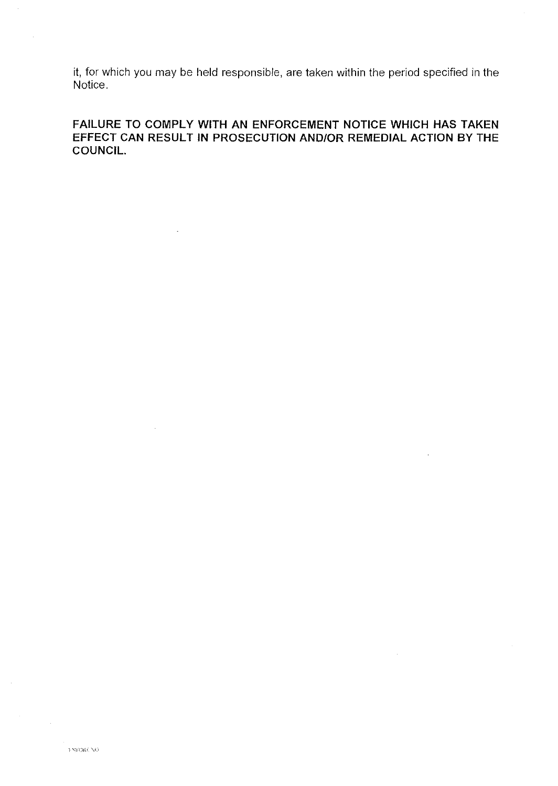it, for which you may be held responsible, are taken within the period specified in the Notice.

FAILURE TO COMPLY WITH AN ENFORCEMENT NOTICE WHICH HAS TAKEN EFFECT CAN RESULT IN PROSECUTION AND/OR REMEDIAL ACTION BY THE COUNCIL.

à.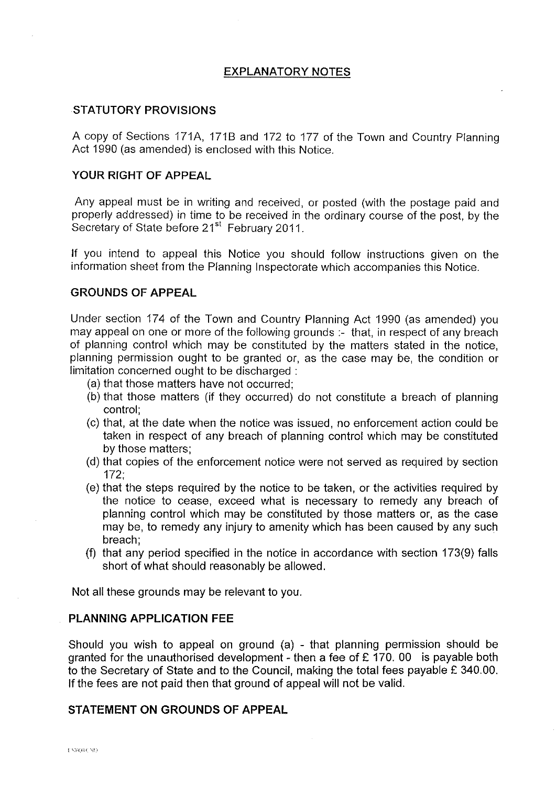## **EXPLANATORY NOTES**

### **STATUTORY PROVISIONS**

A copy of Sections 171A, 1718 and 172 to 177 of the Town and Country Planning Act 1990 (as amended) is enclosed with this Notice.

# **YOUR RIGHT OF APPEAL**

Any appeal must be in writing and received, or posted (with the postage paid and properly addressed) in time to be received in the ordinary course of the post, by the Secretary of State before 21<sup>st</sup> February 2011.

If you intend to appeal this Notice you should follow instructions given on the information sheet from the Planning Inspectorate which accompanies this Notice.

### **GROUNDS OF APPEAL**

Under section 174 of the Town and Country Planning Act 1990 (as amended) you may appeal on one or more of the following grounds :- that, in respect of any breach of planning control which may be constituted by the matters stated in the notice, planning permission ought to be granted or, as the case may be, the condition or limitation concerned ought to be discharged :

- (a) that those matters have not occurred;
- (b) that those matters (if they occurred) do not constitute a breach of planning control;
- (c) that, at the date when the notice was issued, no enforcement action could be taken in respect of any breach of planning control which may be constituted by those matters;
- (d) that copies of the enforcement notice were not served as required by section 172;
- (e) that the steps required by the notice to be taken, or the activities required by the notice to cease, exceed what is necessary to remedy any breach of planning control which may be constituted by those matters or, as the case may be, to remedy any injury to amenity which has been caused by any such breach;
- (f) that any period specified in the notice in accordance with section  $173(9)$  falls short of what should reasonably be allowed.

Not all these grounds may be relevant to you.

### **PLANNING APPLICATION FEE**

Should you wish to appeal on ground (a) - that planning permission should be granted for the unauthorised development - then a fee of  $E$  170. 00 is payable both to the Secretary of State and to the Council, making the total fees payable £ 340.00. If the fees are not paid then that ground of appeal will not be valid.

### **STATEMENT ON GROUNDS OF APPEAL**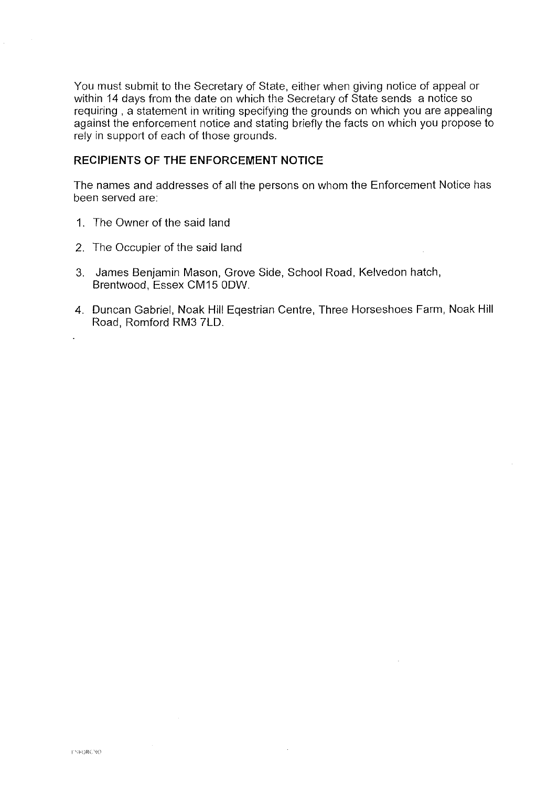You must submit to the Secretary of State, either when giving notice of appeal or within 14 days from the date on which the Secretary of State sends a notice so requiring , a statement in writing specifying the grounds on which you are appealing against the enforcement notice and stating briefly the facts on which you propose to rely in support of each of those grounds.

## **RECIPIENTS OF THE ENFORCEMENT NOTICE**

The names and addresses of all the persons on whom the Enforcement Notice has been served are:

- 1. The Owner of the said land
- 2. The Occupier of the said land
- 3. James Benjamin Mason, Grove Side, School Road, Kelvedon hatch, Brentwood, Essex CM15 ODW.
- 4. Duncan Gabriel, Noak **Hill** Eqestrian Centre, Three Horseshoes Farm, Noak Hill Road, Romford RM3 7LD.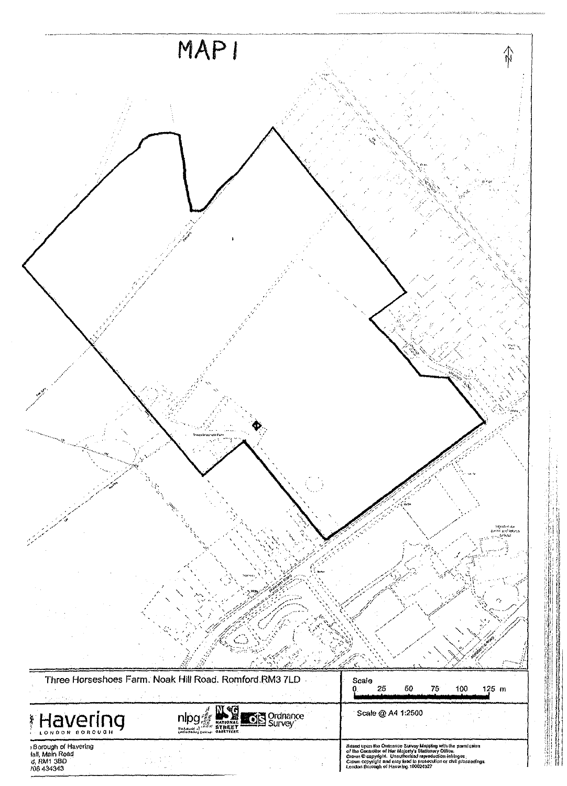